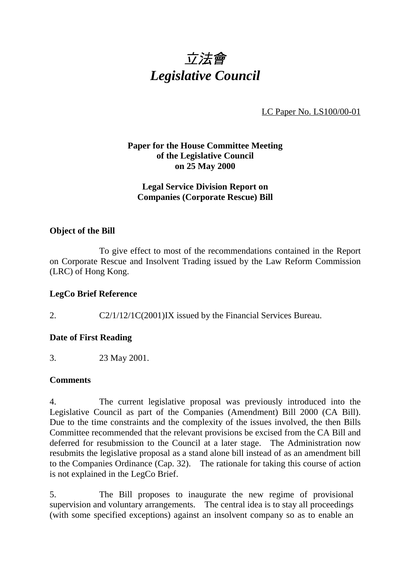

LC Paper No. LS100/00-01

## **Paper for the House Committee Meeting of the Legislative Council on 25 May 2000**

## **Legal Service Division Report on Companies (Corporate Rescue) Bill**

### **Object of the Bill**

To give effect to most of the recommendations contained in the Report on Corporate Rescue and Insolvent Trading issued by the Law Reform Commission (LRC) of Hong Kong.

#### **LegCo Brief Reference**

2. C2/1/12/1C(2001)IX issued by the Financial Services Bureau.

## **Date of First Reading**

3. 23 May 2001.

#### **Comments**

4. The current legislative proposal was previously introduced into the Legislative Council as part of the Companies (Amendment) Bill 2000 (CA Bill). Due to the time constraints and the complexity of the issues involved, the then Bills Committee recommended that the relevant provisions be excised from the CA Bill and deferred for resubmission to the Council at a later stage. The Administration now resubmits the legislative proposal as a stand alone bill instead of as an amendment bill to the Companies Ordinance (Cap. 32). The rationale for taking this course of action is not explained in the LegCo Brief.

5. The Bill proposes to inaugurate the new regime of provisional supervision and voluntary arrangements. The central idea is to stay all proceedings (with some specified exceptions) against an insolvent company so as to enable an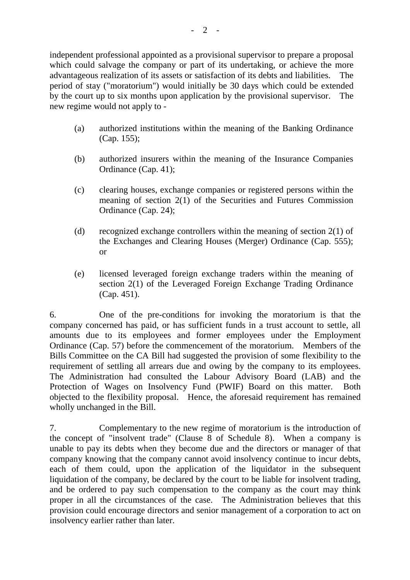independent professional appointed as a provisional supervisor to prepare a proposal which could salvage the company or part of its undertaking, or achieve the more advantageous realization of its assets or satisfaction of its debts and liabilities. The period of stay ("moratorium") would initially be 30 days which could be extended by the court up to six months upon application by the provisional supervisor. The new regime would not apply to -

- (a) authorized institutions within the meaning of the Banking Ordinance (Cap. 155);
- (b) authorized insurers within the meaning of the Insurance Companies Ordinance (Cap. 41);
- (c) clearing houses, exchange companies or registered persons within the meaning of section 2(1) of the Securities and Futures Commission Ordinance (Cap. 24);
- (d) recognized exchange controllers within the meaning of section 2(1) of the Exchanges and Clearing Houses (Merger) Ordinance (Cap. 555); or
- (e) licensed leveraged foreign exchange traders within the meaning of section 2(1) of the Leveraged Foreign Exchange Trading Ordinance (Cap. 451).

6. One of the pre-conditions for invoking the moratorium is that the company concerned has paid, or has sufficient funds in a trust account to settle, all amounts due to its employees and former employees under the Employment Ordinance (Cap. 57) before the commencement of the moratorium. Members of the Bills Committee on the CA Bill had suggested the provision of some flexibility to the requirement of settling all arrears due and owing by the company to its employees. The Administration had consulted the Labour Advisory Board (LAB) and the Protection of Wages on Insolvency Fund (PWIF) Board on this matter. Both objected to the flexibility proposal. Hence, the aforesaid requirement has remained wholly unchanged in the Bill.

7. Complementary to the new regime of moratorium is the introduction of the concept of "insolvent trade" (Clause 8 of Schedule 8). When a company is unable to pay its debts when they become due and the directors or manager of that company knowing that the company cannot avoid insolvency continue to incur debts, each of them could, upon the application of the liquidator in the subsequent liquidation of the company, be declared by the court to be liable for insolvent trading, and be ordered to pay such compensation to the company as the court may think proper in all the circumstances of the case. The Administration believes that this provision could encourage directors and senior management of a corporation to act on insolvency earlier rather than later.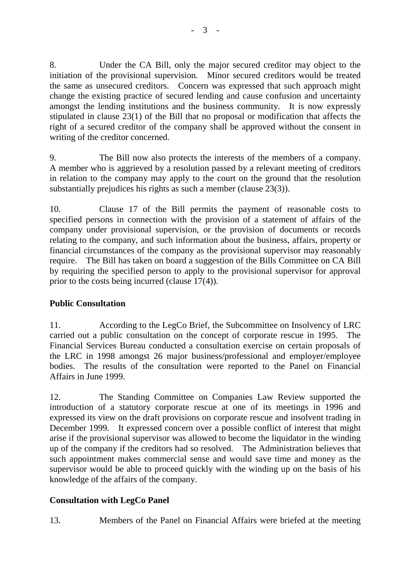8. Under the CA Bill, only the major secured creditor may object to the initiation of the provisional supervision. Minor secured creditors would be treated the same as unsecured creditors. Concern was expressed that such approach might change the existing practice of secured lending and cause confusion and uncertainty amongst the lending institutions and the business community. It is now expressly stipulated in clause 23(1) of the Bill that no proposal or modification that affects the right of a secured creditor of the company shall be approved without the consent in writing of the creditor concerned.

9. The Bill now also protects the interests of the members of a company. A member who is aggrieved by a resolution passed by a relevant meeting of creditors in relation to the company may apply to the court on the ground that the resolution substantially prejudices his rights as such a member (clause 23(3)).

10. Clause 17 of the Bill permits the payment of reasonable costs to specified persons in connection with the provision of a statement of affairs of the company under provisional supervision, or the provision of documents or records relating to the company, and such information about the business, affairs, property or financial circumstances of the company as the provisional supervisor may reasonably require. The Bill has taken on board a suggestion of the Bills Committee on CA Bill by requiring the specified person to apply to the provisional supervisor for approval prior to the costs being incurred (clause 17(4)).

# **Public Consultation**

11. According to the LegCo Brief, the Subcommittee on Insolvency of LRC carried out a public consultation on the concept of corporate rescue in 1995. The Financial Services Bureau conducted a consultation exercise on certain proposals of the LRC in 1998 amongst 26 major business/professional and employer/employee bodies. The results of the consultation were reported to the Panel on Financial Affairs in June 1999.

12. The Standing Committee on Companies Law Review supported the introduction of a statutory corporate rescue at one of its meetings in 1996 and expressed its view on the draft provisions on corporate rescue and insolvent trading in December 1999. It expressed concern over a possible conflict of interest that might arise if the provisional supervisor was allowed to become the liquidator in the winding up of the company if the creditors had so resolved. The Administration believes that such appointment makes commercial sense and would save time and money as the supervisor would be able to proceed quickly with the winding up on the basis of his knowledge of the affairs of the company.

# **Consultation with LegCo Panel**

13. Members of the Panel on Financial Affairs were briefed at the meeting